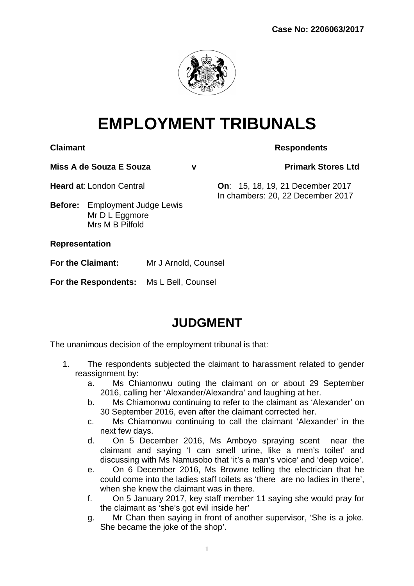

# **EMPLOYMENT TRIBUNALS**

**Claimant Respondents** 

**Miss A de Souza E Souza v Primark Stores Ltd**

**Heard at**: London Central **On**: 15, 18, 19, 21 December 2017

In chambers: 20, 22 December 2017

**Before:** Employment Judge Lewis Mr D L Eggmore Mrs M B Pilfold

**Representation**

**For the Claimant:** Mr J Arnold, Counsel

**For the Respondents:** Ms L Bell, Counsel

## **JUDGMENT**

The unanimous decision of the employment tribunal is that:

- 1. The respondents subjected the claimant to harassment related to gender reassignment by:
	- a. Ms Chiamonwu outing the claimant on or about 29 September 2016, calling her 'Alexander/Alexandra' and laughing at her.
	- b. Ms Chiamonwu continuing to refer to the claimant as 'Alexander' on 30 September 2016, even after the claimant corrected her.
	- c. Ms Chiamonwu continuing to call the claimant 'Alexander' in the next few days.
	- d. On 5 December 2016, Ms Amboyo spraying scent near the claimant and saying 'I can smell urine, like a men's toilet' and discussing with Ms Namusobo that 'it's a man's voice' and 'deep voice'.
	- e. On 6 December 2016, Ms Browne telling the electrician that he could come into the ladies staff toilets as 'there are no ladies in there', when she knew the claimant was in there.
	- f. On 5 January 2017, key staff member 11 saying she would pray for the claimant as 'she's got evil inside her'
	- g. Mr Chan then saying in front of another supervisor, 'She is a joke. She became the joke of the shop'.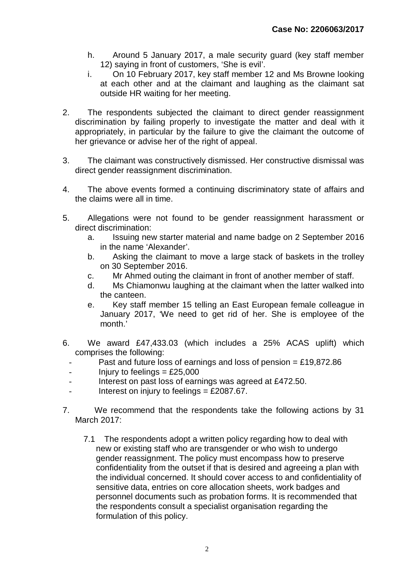- h. Around 5 January 2017, a male security guard (key staff member 12) saying in front of customers, 'She is evil'.
- i. On 10 February 2017, key staff member 12 and Ms Browne looking at each other and at the claimant and laughing as the claimant sat outside HR waiting for her meeting.
- 2. The respondents subjected the claimant to direct gender reassignment discrimination by failing properly to investigate the matter and deal with it appropriately, in particular by the failure to give the claimant the outcome of her grievance or advise her of the right of appeal.
- 3. The claimant was constructively dismissed. Her constructive dismissal was direct gender reassignment discrimination.
- 4. The above events formed a continuing discriminatory state of affairs and the claims were all in time.
- 5. Allegations were not found to be gender reassignment harassment or direct discrimination:
	- a. Issuing new starter material and name badge on 2 September 2016 in the name 'Alexander'.
	- b. Asking the claimant to move a large stack of baskets in the trolley on 30 September 2016.
	- c. Mr Ahmed outing the claimant in front of another member of staff.
	- d. Ms Chiamonwu laughing at the claimant when the latter walked into the canteen.
	- e. Key staff member 15 telling an East European female colleague in January 2017, 'We need to get rid of her. She is employee of the month.'
- 6. We award £47,433.03 (which includes a 25% ACAS uplift) which comprises the following:
	- Past and future loss of earnings and loss of pension =  $£19,872.86$
	- $-$  Injury to feelings  $=$  £25,000
	- Interest on past loss of earnings was agreed at £472.50.
	- Interest on injury to feelings  $=$  £2087.67.
- 7. We recommend that the respondents take the following actions by 31 March 2017:
	- 7.1 The respondents adopt a written policy regarding how to deal with new or existing staff who are transgender or who wish to undergo gender reassignment. The policy must encompass how to preserve confidentiality from the outset if that is desired and agreeing a plan with the individual concerned. It should cover access to and confidentiality of sensitive data, entries on core allocation sheets, work badges and personnel documents such as probation forms. It is recommended that the respondents consult a specialist organisation regarding the formulation of this policy.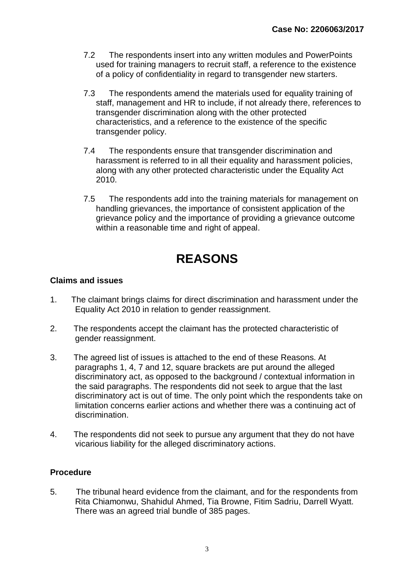- 7.2 The respondents insert into any written modules and PowerPoints used for training managers to recruit staff, a reference to the existence of a policy of confidentiality in regard to transgender new starters.
- 7.3 The respondents amend the materials used for equality training of staff, management and HR to include, if not already there, references to transgender discrimination along with the other protected characteristics, and a reference to the existence of the specific transgender policy.
- 7.4 The respondents ensure that transgender discrimination and harassment is referred to in all their equality and harassment policies, along with any other protected characteristic under the Equality Act 2010.
- 7.5 The respondents add into the training materials for management on handling grievances, the importance of consistent application of the grievance policy and the importance of providing a grievance outcome within a reasonable time and right of appeal.

## **REASONS**

#### **Claims and issues**

- 1. The claimant brings claims for direct discrimination and harassment under the Equality Act 2010 in relation to gender reassignment.
- 2. The respondents accept the claimant has the protected characteristic of gender reassignment.
- 3. The agreed list of issues is attached to the end of these Reasons. At paragraphs 1, 4, 7 and 12, square brackets are put around the alleged discriminatory act, as opposed to the background / contextual information in the said paragraphs. The respondents did not seek to argue that the last discriminatory act is out of time. The only point which the respondents take on limitation concerns earlier actions and whether there was a continuing act of discrimination.
- 4. The respondents did not seek to pursue any argument that they do not have vicarious liability for the alleged discriminatory actions.

#### **Procedure**

5. The tribunal heard evidence from the claimant, and for the respondents from Rita Chiamonwu, Shahidul Ahmed, Tia Browne, Fitim Sadriu, Darrell Wyatt. There was an agreed trial bundle of 385 pages.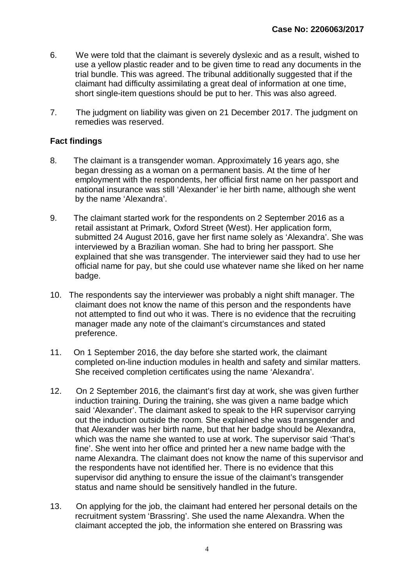- 6. We were told that the claimant is severely dyslexic and as a result, wished to use a yellow plastic reader and to be given time to read any documents in the trial bundle. This was agreed. The tribunal additionally suggested that if the claimant had difficulty assimilating a great deal of information at one time, short single-item questions should be put to her. This was also agreed.
- 7. The judgment on liability was given on 21 December 2017. The judgment on remedies was reserved.

#### **Fact findings**

- 8. The claimant is a transgender woman. Approximately 16 years ago, she began dressing as a woman on a permanent basis. At the time of her employment with the respondents, her official first name on her passport and national insurance was still 'Alexander' ie her birth name, although she went by the name 'Alexandra'.
- 9. The claimant started work for the respondents on 2 September 2016 as a retail assistant at Primark, Oxford Street (West). Her application form, submitted 24 August 2016, gave her first name solely as 'Alexandra'. She was interviewed by a Brazilian woman. She had to bring her passport. She explained that she was transgender. The interviewer said they had to use her official name for pay, but she could use whatever name she liked on her name badge.
- 10. The respondents say the interviewer was probably a night shift manager. The claimant does not know the name of this person and the respondents have not attempted to find out who it was. There is no evidence that the recruiting manager made any note of the claimant's circumstances and stated preference.
- 11. On 1 September 2016, the day before she started work, the claimant completed on-line induction modules in health and safety and similar matters. She received completion certificates using the name 'Alexandra'.
- 12. On 2 September 2016, the claimant's first day at work, she was given further induction training. During the training, she was given a name badge which said 'Alexander'. The claimant asked to speak to the HR supervisor carrying out the induction outside the room. She explained she was transgender and that Alexander was her birth name, but that her badge should be Alexandra, which was the name she wanted to use at work. The supervisor said 'That's fine'. She went into her office and printed her a new name badge with the name Alexandra. The claimant does not know the name of this supervisor and the respondents have not identified her. There is no evidence that this supervisor did anything to ensure the issue of the claimant's transgender status and name should be sensitively handled in the future.
- 13. On applying for the job, the claimant had entered her personal details on the recruitment system 'Brassring'. She used the name Alexandra. When the claimant accepted the job, the information she entered on Brassring was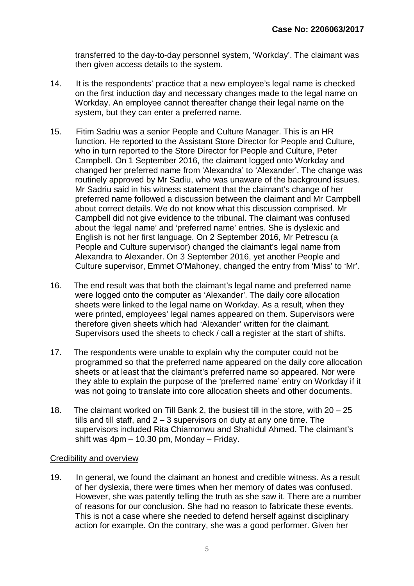transferred to the day-to-day personnel system, 'Workday'. The claimant was then given access details to the system.

- 14. It is the respondents' practice that a new employee's legal name is checked on the first induction day and necessary changes made to the legal name on Workday. An employee cannot thereafter change their legal name on the system, but they can enter a preferred name.
- 15. Fitim Sadriu was a senior People and Culture Manager. This is an HR function. He reported to the Assistant Store Director for People and Culture, who in turn reported to the Store Director for People and Culture, Peter Campbell. On 1 September 2016, the claimant logged onto Workday and changed her preferred name from 'Alexandra' to 'Alexander'. The change was routinely approved by Mr Sadiu, who was unaware of the background issues. Mr Sadriu said in his witness statement that the claimant's change of her preferred name followed a discussion between the claimant and Mr Campbell about correct details. We do not know what this discussion comprised. Mr Campbell did not give evidence to the tribunal. The claimant was confused about the 'legal name' and 'preferred name' entries. She is dyslexic and English is not her first language. On 2 September 2016, Mr Petrescu (a People and Culture supervisor) changed the claimant's legal name from Alexandra to Alexander. On 3 September 2016, yet another People and Culture supervisor, Emmet O'Mahoney, changed the entry from 'Miss' to 'Mr'.
- 16. The end result was that both the claimant's legal name and preferred name were logged onto the computer as 'Alexander'. The daily core allocation sheets were linked to the legal name on Workday. As a result, when they were printed, employees' legal names appeared on them. Supervisors were therefore given sheets which had 'Alexander' written for the claimant. Supervisors used the sheets to check / call a register at the start of shifts.
- 17. The respondents were unable to explain why the computer could not be programmed so that the preferred name appeared on the daily core allocation sheets or at least that the claimant's preferred name so appeared. Nor were they able to explain the purpose of the 'preferred name' entry on Workday if it was not going to translate into core allocation sheets and other documents.
- 18. The claimant worked on Till Bank 2, the busiest till in the store, with 20 25 tills and till staff, and  $2 - 3$  supervisors on duty at any one time. The supervisors included Rita Chiamonwu and Shahidul Ahmed. The claimant's shift was 4pm – 10.30 pm, Monday – Friday.

#### Credibility and overview

19. In general, we found the claimant an honest and credible witness. As a result of her dyslexia, there were times when her memory of dates was confused. However, she was patently telling the truth as she saw it. There are a number of reasons for our conclusion. She had no reason to fabricate these events. This is not a case where she needed to defend herself against disciplinary action for example. On the contrary, she was a good performer. Given her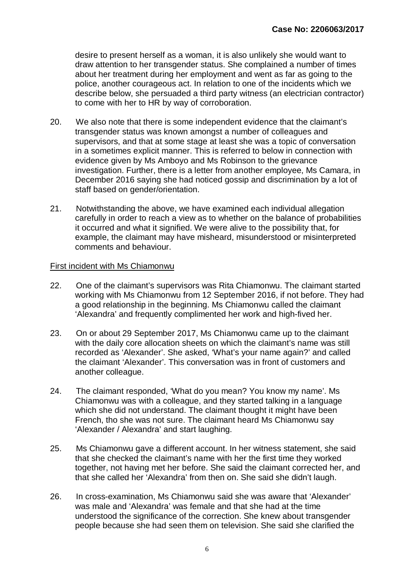desire to present herself as a woman, it is also unlikely she would want to draw attention to her transgender status. She complained a number of times about her treatment during her employment and went as far as going to the police, another courageous act. In relation to one of the incidents which we describe below, she persuaded a third party witness (an electrician contractor) to come with her to HR by way of corroboration.

- 20. We also note that there is some independent evidence that the claimant's transgender status was known amongst a number of colleagues and supervisors, and that at some stage at least she was a topic of conversation in a sometimes explicit manner. This is referred to below in connection with evidence given by Ms Amboyo and Ms Robinson to the grievance investigation. Further, there is a letter from another employee, Ms Camara, in December 2016 saying she had noticed gossip and discrimination by a lot of staff based on gender/orientation.
- 21. Notwithstanding the above, we have examined each individual allegation carefully in order to reach a view as to whether on the balance of probabilities it occurred and what it signified. We were alive to the possibility that, for example, the claimant may have misheard, misunderstood or misinterpreted comments and behaviour.

#### First incident with Ms Chiamonwu

- 22. One of the claimant's supervisors was Rita Chiamonwu. The claimant started working with Ms Chiamonwu from 12 September 2016, if not before. They had a good relationship in the beginning. Ms Chiamonwu called the claimant 'Alexandra' and frequently complimented her work and high-fived her.
- 23. On or about 29 September 2017, Ms Chiamonwu came up to the claimant with the daily core allocation sheets on which the claimant's name was still recorded as 'Alexander'. She asked, 'What's your name again?' and called the claimant 'Alexander'. This conversation was in front of customers and another colleague.
- 24. The claimant responded, 'What do you mean? You know my name'. Ms Chiamonwu was with a colleague, and they started talking in a language which she did not understand. The claimant thought it might have been French, tho she was not sure. The claimant heard Ms Chiamonwu say 'Alexander / Alexandra' and start laughing.
- 25. Ms Chiamonwu gave a different account. In her witness statement, she said that she checked the claimant's name with her the first time they worked together, not having met her before. She said the claimant corrected her, and that she called her 'Alexandra' from then on. She said she didn't laugh.
- 26. In cross-examination, Ms Chiamonwu said she was aware that 'Alexander' was male and 'Alexandra' was female and that she had at the time understood the significance of the correction. She knew about transgender people because she had seen them on television. She said she clarified the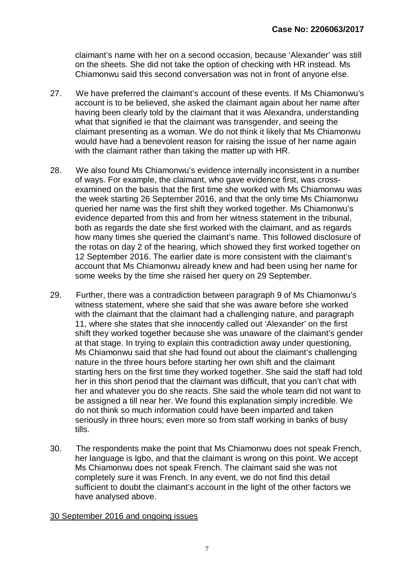claimant's name with her on a second occasion, because 'Alexander' was still on the sheets. She did not take the option of checking with HR instead. Ms Chiamonwu said this second conversation was not in front of anyone else.

- 27. We have preferred the claimant's account of these events. If Ms Chiamonwu's account is to be believed, she asked the claimant again about her name after having been clearly told by the claimant that it was Alexandra, understanding what that signified ie that the claimant was transgender, and seeing the claimant presenting as a woman. We do not think it likely that Ms Chiamonwu would have had a benevolent reason for raising the issue of her name again with the claimant rather than taking the matter up with HR.
- 28. We also found Ms Chiamonwu's evidence internally inconsistent in a number of ways. For example, the claimant, who gave evidence first, was crossexamined on the basis that the first time she worked with Ms Chiamonwu was the week starting 26 September 2016, and that the only time Ms Chiamonwu queried her name was the first shift they worked together. Ms Chiamonwu's evidence departed from this and from her witness statement in the tribunal, both as regards the date she first worked with the claimant, and as regards how many times she queried the claimant's name. This followed disclosure of the rotas on day 2 of the hearing, which showed they first worked together on 12 September 2016. The earlier date is more consistent with the claimant's account that Ms Chiamonwu already knew and had been using her name for some weeks by the time she raised her query on 29 September.
- 29. Further, there was a contradiction between paragraph 9 of Ms Chiamonwu's witness statement, where she said that she was aware before she worked with the claimant that the claimant had a challenging nature, and paragraph 11, where she states that she innocently called out 'Alexander' on the first shift they worked together because she was unaware of the claimant's gender at that stage. In trying to explain this contradiction away under questioning, Ms Chiamonwu said that she had found out about the claimant's challenging nature in the three hours before starting her own shift and the claimant starting hers on the first time they worked together. She said the staff had told her in this short period that the claimant was difficult, that you can't chat with her and whatever you do she reacts. She said the whole team did not want to be assigned a till near her. We found this explanation simply incredible. We do not think so much information could have been imparted and taken seriously in three hours; even more so from staff working in banks of busy tills.
- 30. The respondents make the point that Ms Chiamonwu does not speak French, her language is Igbo, and that the claimant is wrong on this point. We accept Ms Chiamonwu does not speak French. The claimant said she was not completely sure it was French. In any event, we do not find this detail sufficient to doubt the claimant's account in the light of the other factors we have analysed above.

#### 30 September 2016 and ongoing issues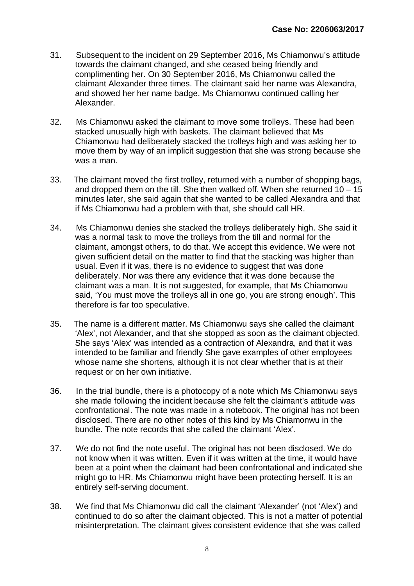- 31. Subsequent to the incident on 29 September 2016, Ms Chiamonwu's attitude towards the claimant changed, and she ceased being friendly and complimenting her. On 30 September 2016, Ms Chiamonwu called the claimant Alexander three times. The claimant said her name was Alexandra, and showed her her name badge. Ms Chiamonwu continued calling her Alexander.
- 32. Ms Chiamonwu asked the claimant to move some trolleys. These had been stacked unusually high with baskets. The claimant believed that Ms Chiamonwu had deliberately stacked the trolleys high and was asking her to move them by way of an implicit suggestion that she was strong because she was a man.
- 33. The claimant moved the first trolley, returned with a number of shopping bags, and dropped them on the till. She then walked off. When she returned  $10 - 15$ minutes later, she said again that she wanted to be called Alexandra and that if Ms Chiamonwu had a problem with that, she should call HR.
- 34. Ms Chiamonwu denies she stacked the trolleys deliberately high. She said it was a normal task to move the trolleys from the till and normal for the claimant, amongst others, to do that. We accept this evidence. We were not given sufficient detail on the matter to find that the stacking was higher than usual. Even if it was, there is no evidence to suggest that was done deliberately. Nor was there any evidence that it was done because the claimant was a man. It is not suggested, for example, that Ms Chiamonwu said, 'You must move the trolleys all in one go, you are strong enough'. This therefore is far too speculative.
- 35. The name is a different matter. Ms Chiamonwu says she called the claimant 'Alex', not Alexander, and that she stopped as soon as the claimant objected. She says 'Alex' was intended as a contraction of Alexandra, and that it was intended to be familiar and friendly She gave examples of other employees whose name she shortens, although it is not clear whether that is at their request or on her own initiative.
- 36. In the trial bundle, there is a photocopy of a note which Ms Chiamonwu says she made following the incident because she felt the claimant's attitude was confrontational. The note was made in a notebook. The original has not been disclosed. There are no other notes of this kind by Ms Chiamonwu in the bundle. The note records that she called the claimant 'Alex'.
- 37. We do not find the note useful. The original has not been disclosed. We do not know when it was written. Even if it was written at the time, it would have been at a point when the claimant had been confrontational and indicated she might go to HR. Ms Chiamonwu might have been protecting herself. It is an entirely self-serving document.
- 38. We find that Ms Chiamonwu did call the claimant 'Alexander' (not 'Alex') and continued to do so after the claimant objected. This is not a matter of potential misinterpretation. The claimant gives consistent evidence that she was called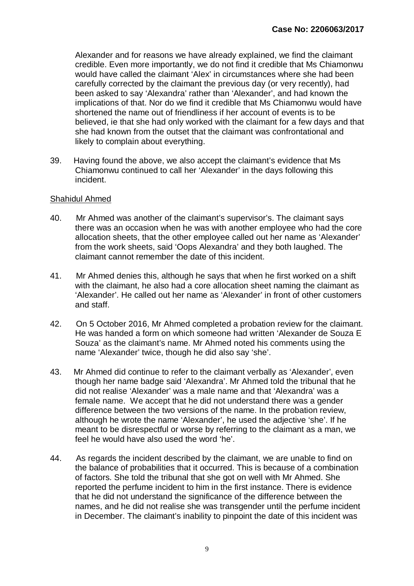Alexander and for reasons we have already explained, we find the claimant credible. Even more importantly, we do not find it credible that Ms Chiamonwu would have called the claimant 'Alex' in circumstances where she had been carefully corrected by the claimant the previous day (or very recently), had been asked to say 'Alexandra' rather than 'Alexander', and had known the implications of that. Nor do we find it credible that Ms Chiamonwu would have shortened the name out of friendliness if her account of events is to be believed, ie that she had only worked with the claimant for a few days and that she had known from the outset that the claimant was confrontational and likely to complain about everything.

39. Having found the above, we also accept the claimant's evidence that Ms Chiamonwu continued to call her 'Alexander' in the days following this incident.

#### Shahidul Ahmed

- 40. Mr Ahmed was another of the claimant's supervisor's. The claimant says there was an occasion when he was with another employee who had the core allocation sheets, that the other employee called out her name as 'Alexander' from the work sheets, said 'Oops Alexandra' and they both laughed. The claimant cannot remember the date of this incident.
- 41. Mr Ahmed denies this, although he says that when he first worked on a shift with the claimant, he also had a core allocation sheet naming the claimant as 'Alexander'. He called out her name as 'Alexander' in front of other customers and staff.
- 42. On 5 October 2016, Mr Ahmed completed a probation review for the claimant. He was handed a form on which someone had written 'Alexander de Souza E Souza' as the claimant's name. Mr Ahmed noted his comments using the name 'Alexander' twice, though he did also say 'she'.
- 43. Mr Ahmed did continue to refer to the claimant verbally as 'Alexander', even though her name badge said 'Alexandra'. Mr Ahmed told the tribunal that he did not realise 'Alexander' was a male name and that 'Alexandra' was a female name. We accept that he did not understand there was a gender difference between the two versions of the name. In the probation review, although he wrote the name 'Alexander', he used the adjective 'she'. If he meant to be disrespectful or worse by referring to the claimant as a man, we feel he would have also used the word 'he'.
- 44. As regards the incident described by the claimant, we are unable to find on the balance of probabilities that it occurred. This is because of a combination of factors. She told the tribunal that she got on well with Mr Ahmed. She reported the perfume incident to him in the first instance. There is evidence that he did not understand the significance of the difference between the names, and he did not realise she was transgender until the perfume incident in December. The claimant's inability to pinpoint the date of this incident was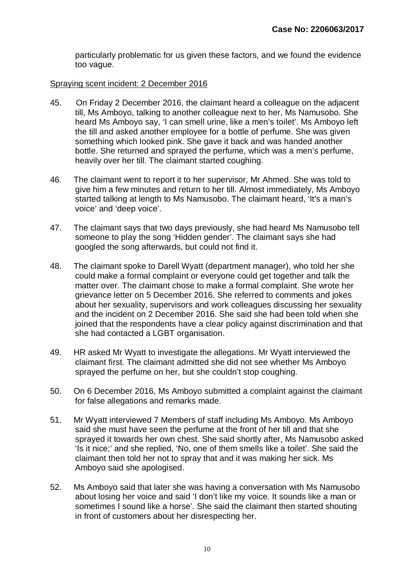particularly problematic for us given these factors, and we found the evidence too vague.

#### Spraying scent incident: 2 December 2016

- 45. On Friday 2 December 2016, the claimant heard a colleague on the adjacent till, Ms Amboyo, talking to another colleague next to her, Ms Namusobo. She heard Ms Amboyo say, 'I can smell urine, like a men's toilet'. Ms Amboyo left the till and asked another employee for a bottle of perfume. She was given something which looked pink. She gave it back and was handed another bottle. She returned and sprayed the perfume, which was a men's perfume, heavily over her till. The claimant started coughing.
- 46. The claimant went to report it to her supervisor, Mr Ahmed. She was told to give him a few minutes and return to her till. Almost immediately, Ms Amboyo started talking at length to Ms Namusobo. The claimant heard, 'It's a man's voice' and 'deep voice'.
- 47. The claimant says that two days previously, she had heard Ms Namusobo tell someone to play the song 'Hidden gender'. The claimant says she had googled the song afterwards, but could not find it.
- 48. The claimant spoke to Darell Wyatt (department manager), who told her she could make a formal complaint or everyone could get together and talk the matter over. The claimant chose to make a formal complaint. She wrote her grievance letter on 5 December 2016. She referred to comments and jokes about her sexuality, supervisors and work colleagues discussing her sexuality and the incident on 2 December 2016. She said she had been told when she joined that the respondents have a clear policy against discrimination and that she had contacted a LGBT organisation.
- 49. HR asked Mr Wyatt to investigate the allegations. Mr Wyatt interviewed the claimant first. The claimant admitted she did not see whether Ms Amboyo sprayed the perfume on her, but she couldn't stop coughing.
- 50. On 6 December 2016, Ms Amboyo submitted a complaint against the claimant for false allegations and remarks made.
- 51. Mr Wyatt interviewed 7 Members of staff including Ms Amboyo. Ms Amboyo said she must have seen the perfume at the front of her till and that she sprayed it towards her own chest. She said shortly after, Ms Namusobo asked 'Is it nice;' and she replied, 'No, one of them smells like a toilet'. She said the claimant then told her not to spray that and it was making her sick. Ms Amboyo said she apologised.
- 52. Ms Amboyo said that later she was having a conversation with Ms Namusobo about losing her voice and said 'I don't like my voice. It sounds like a man or sometimes I sound like a horse'. She said the claimant then started shouting in front of customers about her disrespecting her.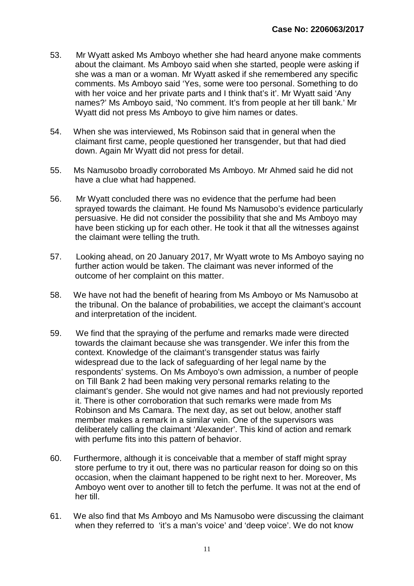- 53. Mr Wyatt asked Ms Amboyo whether she had heard anyone make comments about the claimant. Ms Amboyo said when she started, people were asking if she was a man or a woman. Mr Wyatt asked if she remembered any specific comments. Ms Amboyo said 'Yes, some were too personal. Something to do with her voice and her private parts and I think that's it'. Mr Wyatt said 'Any names?' Ms Amboyo said, 'No comment. It's from people at her till bank.' Mr Wyatt did not press Ms Amboyo to give him names or dates.
- 54. When she was interviewed, Ms Robinson said that in general when the claimant first came, people questioned her transgender, but that had died down. Again Mr Wyatt did not press for detail.
- 55. Ms Namusobo broadly corroborated Ms Amboyo. Mr Ahmed said he did not have a clue what had happened.
- 56. Mr Wyatt concluded there was no evidence that the perfume had been sprayed towards the claimant. He found Ms Namusobo's evidence particularly persuasive. He did not consider the possibility that she and Ms Amboyo may have been sticking up for each other. He took it that all the witnesses against the claimant were telling the truth.
- 57. Looking ahead, on 20 January 2017, Mr Wyatt wrote to Ms Amboyo saying no further action would be taken. The claimant was never informed of the outcome of her complaint on this matter.
- 58. We have not had the benefit of hearing from Ms Amboyo or Ms Namusobo at the tribunal. On the balance of probabilities, we accept the claimant's account and interpretation of the incident.
- 59. We find that the spraying of the perfume and remarks made were directed towards the claimant because she was transgender. We infer this from the context. Knowledge of the claimant's transgender status was fairly widespread due to the lack of safeguarding of her legal name by the respondents' systems. On Ms Amboyo's own admission, a number of people on Till Bank 2 had been making very personal remarks relating to the claimant's gender. She would not give names and had not previously reported it. There is other corroboration that such remarks were made from Ms Robinson and Ms Camara. The next day, as set out below, another staff member makes a remark in a similar vein. One of the supervisors was deliberately calling the claimant 'Alexander'. This kind of action and remark with perfume fits into this pattern of behavior.
- 60. Furthermore, although it is conceivable that a member of staff might spray store perfume to try it out, there was no particular reason for doing so on this occasion, when the claimant happened to be right next to her. Moreover, Ms Amboyo went over to another till to fetch the perfume. It was not at the end of her till.
- 61. We also find that Ms Amboyo and Ms Namusobo were discussing the claimant when they referred to 'it's a man's voice' and 'deep voice'. We do not know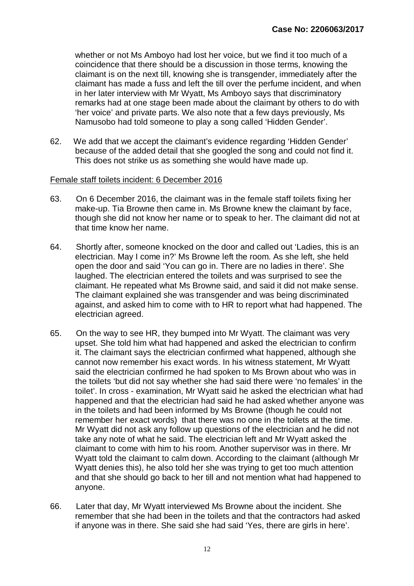whether or not Ms Amboyo had lost her voice, but we find it too much of a coincidence that there should be a discussion in those terms, knowing the claimant is on the next till, knowing she is transgender, immediately after the claimant has made a fuss and left the till over the perfume incident, and when in her later interview with Mr Wyatt, Ms Amboyo says that discriminatory remarks had at one stage been made about the claimant by others to do with 'her voice' and private parts. We also note that a few days previously, Ms Namusobo had told someone to play a song called 'Hidden Gender'.

62. We add that we accept the claimant's evidence regarding 'Hidden Gender' because of the added detail that she googled the song and could not find it. This does not strike us as something she would have made up.

#### Female staff toilets incident: 6 December 2016

- 63. On 6 December 2016, the claimant was in the female staff toilets fixing her make-up. Tia Browne then came in. Ms Browne knew the claimant by face, though she did not know her name or to speak to her. The claimant did not at that time know her name.
- 64. Shortly after, someone knocked on the door and called out 'Ladies, this is an electrician. May I come in?' Ms Browne left the room. As she left, she held open the door and said 'You can go in. There are no ladies in there'. She laughed. The electrician entered the toilets and was surprised to see the claimant. He repeated what Ms Browne said, and said it did not make sense. The claimant explained she was transgender and was being discriminated against, and asked him to come with to HR to report what had happened. The electrician agreed.
- 65. On the way to see HR, they bumped into Mr Wyatt. The claimant was very upset. She told him what had happened and asked the electrician to confirm it. The claimant says the electrician confirmed what happened, although she cannot now remember his exact words. In his witness statement, Mr Wyatt said the electrician confirmed he had spoken to Ms Brown about who was in the toilets 'but did not say whether she had said there were 'no females' in the toilet'. In cross - examination, Mr Wyatt said he asked the electrician what had happened and that the electrician had said he had asked whether anyone was in the toilets and had been informed by Ms Browne (though he could not remember her exact words) that there was no one in the toilets at the time. Mr Wyatt did not ask any follow up questions of the electrician and he did not take any note of what he said. The electrician left and Mr Wyatt asked the claimant to come with him to his room. Another supervisor was in there. Mr Wyatt told the claimant to calm down. According to the claimant (although Mr Wyatt denies this), he also told her she was trying to get too much attention and that she should go back to her till and not mention what had happened to anyone.
- 66. Later that day, Mr Wyatt interviewed Ms Browne about the incident. She remember that she had been in the toilets and that the contractors had asked if anyone was in there. She said she had said 'Yes, there are girls in here'.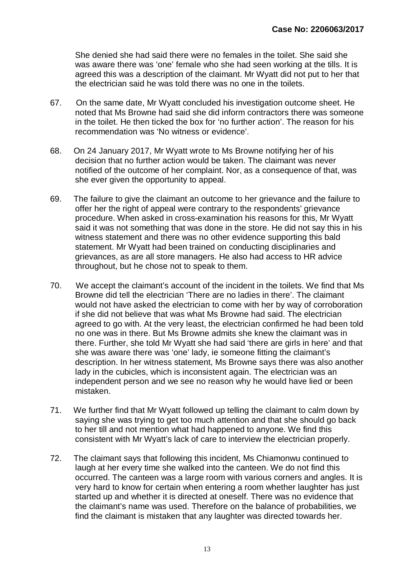She denied she had said there were no females in the toilet. She said she was aware there was 'one' female who she had seen working at the tills. It is agreed this was a description of the claimant. Mr Wyatt did not put to her that the electrician said he was told there was no one in the toilets.

- 67. On the same date, Mr Wyatt concluded his investigation outcome sheet. He noted that Ms Browne had said she did inform contractors there was someone in the toilet. He then ticked the box for 'no further action'. The reason for his recommendation was 'No witness or evidence'.
- 68. On 24 January 2017, Mr Wyatt wrote to Ms Browne notifying her of his decision that no further action would be taken. The claimant was never notified of the outcome of her complaint. Nor, as a consequence of that, was she ever given the opportunity to appeal.
- 69. The failure to give the claimant an outcome to her grievance and the failure to offer her the right of appeal were contrary to the respondents' grievance procedure. When asked in cross-examination his reasons for this, Mr Wyatt said it was not something that was done in the store. He did not say this in his witness statement and there was no other evidence supporting this bald statement. Mr Wyatt had been trained on conducting disciplinaries and grievances, as are all store managers. He also had access to HR advice throughout, but he chose not to speak to them.
- 70. We accept the claimant's account of the incident in the toilets. We find that Ms Browne did tell the electrician 'There are no ladies in there'. The claimant would not have asked the electrician to come with her by way of corroboration if she did not believe that was what Ms Browne had said. The electrician agreed to go with. At the very least, the electrician confirmed he had been told no one was in there. But Ms Browne admits she knew the claimant was in there. Further, she told Mr Wyatt she had said 'there are girls in here' and that she was aware there was 'one' lady, ie someone fitting the claimant's description. In her witness statement, Ms Browne says there was also another lady in the cubicles, which is inconsistent again. The electrician was an independent person and we see no reason why he would have lied or been mistaken.
- 71. We further find that Mr Wyatt followed up telling the claimant to calm down by saying she was trying to get too much attention and that she should go back to her till and not mention what had happened to anyone. We find this consistent with Mr Wyatt's lack of care to interview the electrician properly.
- 72. The claimant says that following this incident, Ms Chiamonwu continued to laugh at her every time she walked into the canteen. We do not find this occurred. The canteen was a large room with various corners and angles. It is very hard to know for certain when entering a room whether laughter has just started up and whether it is directed at oneself. There was no evidence that the claimant's name was used. Therefore on the balance of probabilities, we find the claimant is mistaken that any laughter was directed towards her.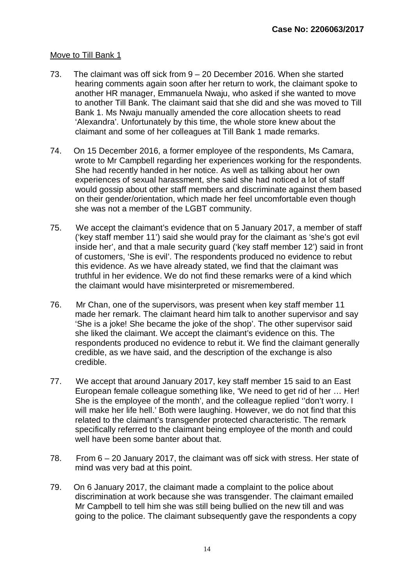#### Move to Till Bank 1

- 73. The claimant was off sick from 9 20 December 2016. When she started hearing comments again soon after her return to work, the claimant spoke to another HR manager, Emmanuela Nwaju, who asked if she wanted to move to another Till Bank. The claimant said that she did and she was moved to Till Bank 1. Ms Nwaju manually amended the core allocation sheets to read 'Alexandra'. Unfortunately by this time, the whole store knew about the claimant and some of her colleagues at Till Bank 1 made remarks.
- 74. On 15 December 2016, a former employee of the respondents, Ms Camara, wrote to Mr Campbell regarding her experiences working for the respondents. She had recently handed in her notice. As well as talking about her own experiences of sexual harassment, she said she had noticed a lot of staff would gossip about other staff members and discriminate against them based on their gender/orientation, which made her feel uncomfortable even though she was not a member of the LGBT community.
- 75. We accept the claimant's evidence that on 5 January 2017, a member of staff ('key staff member 11') said she would pray for the claimant as 'she's got evil inside her', and that a male security guard ('key staff member 12') said in front of customers, 'She is evil'. The respondents produced no evidence to rebut this evidence. As we have already stated, we find that the claimant was truthful in her evidence. We do not find these remarks were of a kind which the claimant would have misinterpreted or misremembered.
- 76. Mr Chan, one of the supervisors, was present when key staff member 11 made her remark. The claimant heard him talk to another supervisor and say 'She is a joke! She became the joke of the shop'. The other supervisor said she liked the claimant. We accept the claimant's evidence on this. The respondents produced no evidence to rebut it. We find the claimant generally credible, as we have said, and the description of the exchange is also credible.
- 77. We accept that around January 2017, key staff member 15 said to an East European female colleague something like, 'We need to get rid of her … Her! She is the employee of the month', and the colleague replied ''don't worry. I will make her life hell.' Both were laughing. However, we do not find that this related to the claimant's transgender protected characteristic. The remark specifically referred to the claimant being employee of the month and could well have been some banter about that.
- 78. From 6 20 January 2017, the claimant was off sick with stress. Her state of mind was very bad at this point.
- 79. On 6 January 2017, the claimant made a complaint to the police about discrimination at work because she was transgender. The claimant emailed Mr Campbell to tell him she was still being bullied on the new till and was going to the police. The claimant subsequently gave the respondents a copy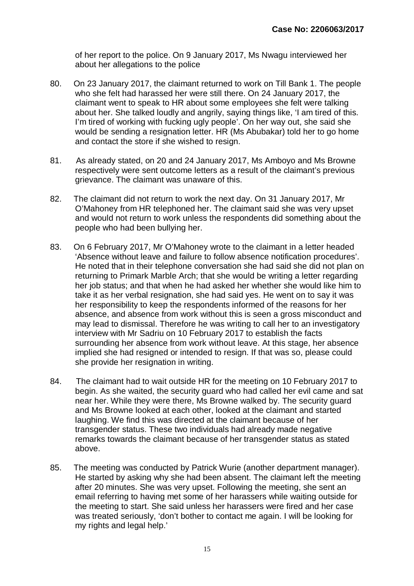of her report to the police. On 9 January 2017, Ms Nwagu interviewed her about her allegations to the police

- 80. On 23 January 2017, the claimant returned to work on Till Bank 1. The people who she felt had harassed her were still there. On 24 January 2017, the claimant went to speak to HR about some employees she felt were talking about her. She talked loudly and angrily, saying things like, 'I am tired of this. I'm tired of working with fucking ugly people'. On her way out, she said she would be sending a resignation letter. HR (Ms Abubakar) told her to go home and contact the store if she wished to resign.
- 81. As already stated, on 20 and 24 January 2017, Ms Amboyo and Ms Browne respectively were sent outcome letters as a result of the claimant's previous grievance. The claimant was unaware of this.
- 82. The claimant did not return to work the next day. On 31 January 2017, Mr O'Mahoney from HR telephoned her. The claimant said she was very upset and would not return to work unless the respondents did something about the people who had been bullying her.
- 83. On 6 February 2017, Mr O'Mahoney wrote to the claimant in a letter headed 'Absence without leave and failure to follow absence notification procedures'. He noted that in their telephone conversation she had said she did not plan on returning to Primark Marble Arch; that she would be writing a letter regarding her job status; and that when he had asked her whether she would like him to take it as her verbal resignation, she had said yes. He went on to say it was her responsibility to keep the respondents informed of the reasons for her absence, and absence from work without this is seen a gross misconduct and may lead to dismissal. Therefore he was writing to call her to an investigatory interview with Mr Sadriu on 10 February 2017 to establish the facts surrounding her absence from work without leave. At this stage, her absence implied she had resigned or intended to resign. If that was so, please could she provide her resignation in writing.
- 84. The claimant had to wait outside HR for the meeting on 10 February 2017 to begin. As she waited, the security guard who had called her evil came and sat near her. While they were there, Ms Browne walked by. The security guard and Ms Browne looked at each other, looked at the claimant and started laughing. We find this was directed at the claimant because of her transgender status. These two individuals had already made negative remarks towards the claimant because of her transgender status as stated above.
- 85. The meeting was conducted by Patrick Wurie (another department manager). He started by asking why she had been absent. The claimant left the meeting after 20 minutes. She was very upset. Following the meeting, she sent an email referring to having met some of her harassers while waiting outside for the meeting to start. She said unless her harassers were fired and her case was treated seriously, 'don't bother to contact me again. I will be looking for my rights and legal help.'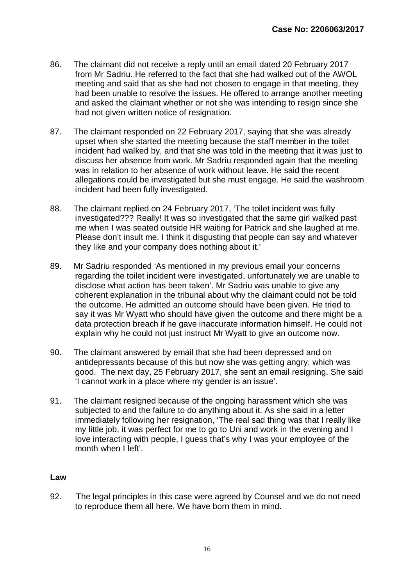- 86. The claimant did not receive a reply until an email dated 20 February 2017 from Mr Sadriu. He referred to the fact that she had walked out of the AWOL meeting and said that as she had not chosen to engage in that meeting, they had been unable to resolve the issues. He offered to arrange another meeting and asked the claimant whether or not she was intending to resign since she had not given written notice of resignation.
- 87. The claimant responded on 22 February 2017, saying that she was already upset when she started the meeting because the staff member in the toilet incident had walked by, and that she was told in the meeting that it was just to discuss her absence from work. Mr Sadriu responded again that the meeting was in relation to her absence of work without leave. He said the recent allegations could be investigated but she must engage. He said the washroom incident had been fully investigated.
- 88. The claimant replied on 24 February 2017, 'The toilet incident was fully investigated??? Really! It was so investigated that the same girl walked past me when I was seated outside HR waiting for Patrick and she laughed at me. Please don't insult me. I think it disgusting that people can say and whatever they like and your company does nothing about it.'
- 89. Mr Sadriu responded 'As mentioned in my previous email your concerns regarding the toilet incident were investigated, unfortunately we are unable to disclose what action has been taken'. Mr Sadriu was unable to give any coherent explanation in the tribunal about why the claimant could not be told the outcome. He admitted an outcome should have been given. He tried to say it was Mr Wyatt who should have given the outcome and there might be a data protection breach if he gave inaccurate information himself. He could not explain why he could not just instruct Mr Wyatt to give an outcome now.
- 90. The claimant answered by email that she had been depressed and on antidepressants because of this but now she was getting angry, which was good. The next day, 25 February 2017, she sent an email resigning. She said 'I cannot work in a place where my gender is an issue'.
- 91. The claimant resigned because of the ongoing harassment which she was subjected to and the failure to do anything about it. As she said in a letter immediately following her resignation, 'The real sad thing was that I really like my little job, it was perfect for me to go to Uni and work in the evening and I love interacting with people, I guess that's why I was your employee of the month when I left'.

#### **Law**

92. The legal principles in this case were agreed by Counsel and we do not need to reproduce them all here. We have born them in mind.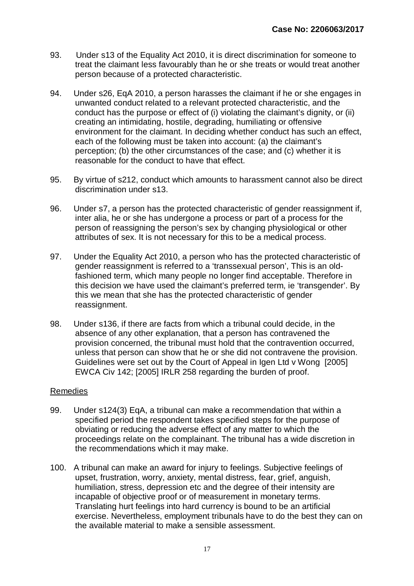- 93. Under s13 of the Equality Act 2010, it is direct discrimination for someone to treat the claimant less favourably than he or she treats or would treat another person because of a protected characteristic.
- 94. Under s26, EqA 2010, a person harasses the claimant if he or she engages in unwanted conduct related to a relevant protected characteristic, and the conduct has the purpose or effect of (i) violating the claimant's dignity, or (ii) creating an intimidating, hostile, degrading, humiliating or offensive environment for the claimant. In deciding whether conduct has such an effect, each of the following must be taken into account: (a) the claimant's perception; (b) the other circumstances of the case; and (c) whether it is reasonable for the conduct to have that effect.
- 95. By virtue of s212, conduct which amounts to harassment cannot also be direct discrimination under s13.
- 96. Under s7, a person has the protected characteristic of gender reassignment if, inter alia, he or she has undergone a process or part of a process for the person of reassigning the person's sex by changing physiological or other attributes of sex. It is not necessary for this to be a medical process.
- 97. Under the Equality Act 2010, a person who has the protected characteristic of gender reassignment is referred to a 'transsexual person', This is an oldfashioned term, which many people no longer find acceptable. Therefore in this decision we have used the claimant's preferred term, ie 'transgender'. By this we mean that she has the protected characteristic of gender reassignment.
- 98. Under s136, if there are facts from which a tribunal could decide, in the absence of any other explanation, that a person has contravened the provision concerned, the tribunal must hold that the contravention occurred, unless that person can show that he or she did not contravene the provision. Guidelines were set out by the Court of Appeal in Igen Ltd v Wong [2005] EWCA Civ 142; [2005] IRLR 258 regarding the burden of proof.

#### Remedies

- 99. Under s124(3) EqA, a tribunal can make a recommendation that within a specified period the respondent takes specified steps for the purpose of obviating or reducing the adverse effect of any matter to which the proceedings relate on the complainant. The tribunal has a wide discretion in the recommendations which it may make.
- 100. A tribunal can make an award for injury to feelings. Subjective feelings of upset, frustration, worry, anxiety, mental distress, fear, grief, anguish, humiliation, stress, depression etc and the degree of their intensity are incapable of objective proof or of measurement in monetary terms. Translating hurt feelings into hard currency is bound to be an artificial exercise. Nevertheless, employment tribunals have to do the best they can on the available material to make a sensible assessment.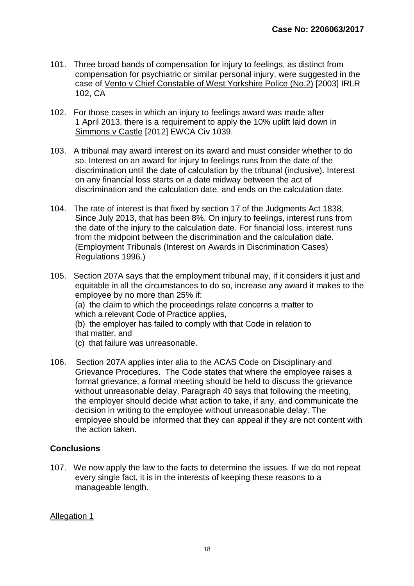- 101. Three broad bands of compensation for injury to feelings, as distinct from compensation for psychiatric or similar personal injury, were suggested in the case of Vento v Chief Constable of West Yorkshire Police (No.2) [2003] IRLR 102, CA
- 102. For those cases in which an injury to feelings award was made after 1 April 2013, there is a requirement to apply the 10% uplift laid down in Simmons v Castle [2012] EWCA Civ 1039.
- 103. A tribunal may award interest on its award and must consider whether to do so. Interest on an award for injury to feelings runs from the date of the discrimination until the date of calculation by the tribunal (inclusive). Interest on any financial loss starts on a date midway between the act of discrimination and the calculation date, and ends on the calculation date.
- 104. The rate of interest is that fixed by section 17 of the Judgments Act 1838. Since July 2013, that has been 8%. On injury to feelings, interest runs from the date of the injury to the calculation date. For financial loss, interest runs from the midpoint between the discrimination and the calculation date. (Employment Tribunals (Interest on Awards in Discrimination Cases) Regulations 1996.)
- 105. Section 207A says that the employment tribunal may, if it considers it just and equitable in all the circumstances to do so, increase any award it makes to the employee by no more than 25% if: (a) the claim to which the proceedings relate concerns a matter to which a relevant Code of Practice applies, (b) the employer has failed to comply with that Code in relation to that matter, and (c) that failure was unreasonable.
	-
- 106. Section 207A applies inter alia to the ACAS Code on Disciplinary and Grievance Procedures. The Code states that where the employee raises a formal grievance, a formal meeting should be held to discuss the grievance without unreasonable delay. Paragraph 40 says that following the meeting, the employer should decide what action to take, if any, and communicate the decision in writing to the employee without unreasonable delay. The employee should be informed that they can appeal if they are not content with the action taken.

### **Conclusions**

107. We now apply the law to the facts to determine the issues. If we do not repeat every single fact, it is in the interests of keeping these reasons to a manageable length.

#### Allegation 1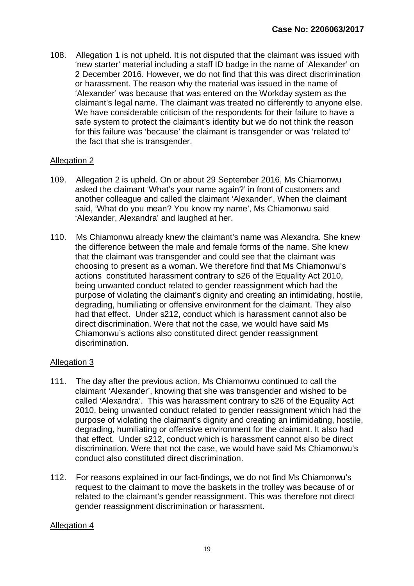108. Allegation 1 is not upheld. It is not disputed that the claimant was issued with 'new starter' material including a staff ID badge in the name of 'Alexander' on 2 December 2016. However, we do not find that this was direct discrimination or harassment. The reason why the material was issued in the name of 'Alexander' was because that was entered on the Workday system as the claimant's legal name. The claimant was treated no differently to anyone else. We have considerable criticism of the respondents for their failure to have a safe system to protect the claimant's identity but we do not think the reason for this failure was 'because' the claimant is transgender or was 'related to' the fact that she is transgender.

#### Allegation 2

- 109. Allegation 2 is upheld. On or about 29 September 2016, Ms Chiamonwu asked the claimant 'What's your name again?' in front of customers and another colleague and called the claimant 'Alexander'. When the claimant said, 'What do you mean? You know my name', Ms Chiamonwu said 'Alexander, Alexandra' and laughed at her.
- 110. Ms Chiamonwu already knew the claimant's name was Alexandra. She knew the difference between the male and female forms of the name. She knew that the claimant was transgender and could see that the claimant was choosing to present as a woman. We therefore find that Ms Chiamonwu's actions constituted harassment contrary to s26 of the Equality Act 2010, being unwanted conduct related to gender reassignment which had the purpose of violating the claimant's dignity and creating an intimidating, hostile, degrading, humiliating or offensive environment for the claimant. They also had that effect. Under s212, conduct which is harassment cannot also be direct discrimination. Were that not the case, we would have said Ms Chiamonwu's actions also constituted direct gender reassignment discrimination.

#### Allegation 3

- 111. The day after the previous action, Ms Chiamonwu continued to call the claimant 'Alexander', knowing that she was transgender and wished to be called 'Alexandra'. This was harassment contrary to s26 of the Equality Act 2010, being unwanted conduct related to gender reassignment which had the purpose of violating the claimant's dignity and creating an intimidating, hostile, degrading, humiliating or offensive environment for the claimant. It also had that effect. Under s212, conduct which is harassment cannot also be direct discrimination. Were that not the case, we would have said Ms Chiamonwu's conduct also constituted direct discrimination.
- 112. For reasons explained in our fact-findings, we do not find Ms Chiamonwu's request to the claimant to move the baskets in the trolley was because of or related to the claimant's gender reassignment. This was therefore not direct gender reassignment discrimination or harassment.

#### Allegation 4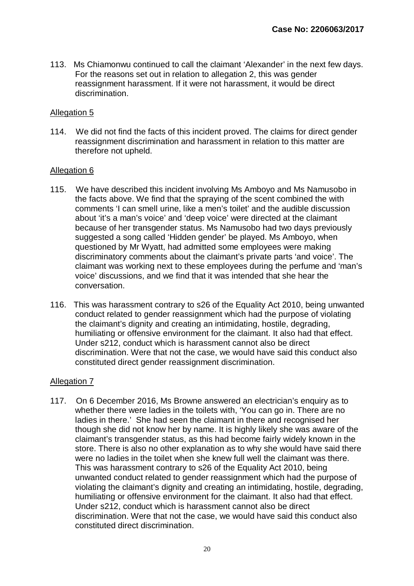113. Ms Chiamonwu continued to call the claimant 'Alexander' in the next few days. For the reasons set out in relation to allegation 2, this was gender reassignment harassment. If it were not harassment, it would be direct discrimination.

#### Allegation 5

114. We did not find the facts of this incident proved. The claims for direct gender reassignment discrimination and harassment in relation to this matter are therefore not upheld.

#### Allegation 6

- 115. We have described this incident involving Ms Amboyo and Ms Namusobo in the facts above. We find that the spraying of the scent combined the with comments 'I can smell urine, like a men's toilet' and the audible discussion about 'it's a man's voice' and 'deep voice' were directed at the claimant because of her transgender status. Ms Namusobo had two days previously suggested a song called 'Hidden gender' be played. Ms Amboyo, when questioned by Mr Wyatt, had admitted some employees were making discriminatory comments about the claimant's private parts 'and voice'. The claimant was working next to these employees during the perfume and 'man's voice' discussions, and we find that it was intended that she hear the conversation.
- 116. This was harassment contrary to s26 of the Equality Act 2010, being unwanted conduct related to gender reassignment which had the purpose of violating the claimant's dignity and creating an intimidating, hostile, degrading, humiliating or offensive environment for the claimant. It also had that effect. Under s212, conduct which is harassment cannot also be direct discrimination. Were that not the case, we would have said this conduct also constituted direct gender reassignment discrimination.

#### Allegation 7

117. On 6 December 2016, Ms Browne answered an electrician's enquiry as to whether there were ladies in the toilets with, 'You can go in. There are no ladies in there.' She had seen the claimant in there and recognised her though she did not know her by name. It is highly likely she was aware of the claimant's transgender status, as this had become fairly widely known in the store. There is also no other explanation as to why she would have said there were no ladies in the toilet when she knew full well the claimant was there. This was harassment contrary to s26 of the Equality Act 2010, being unwanted conduct related to gender reassignment which had the purpose of violating the claimant's dignity and creating an intimidating, hostile, degrading, humiliating or offensive environment for the claimant. It also had that effect. Under s212, conduct which is harassment cannot also be direct discrimination. Were that not the case, we would have said this conduct also constituted direct discrimination.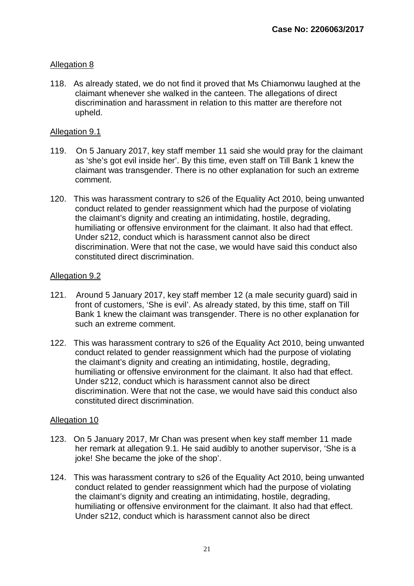#### Allegation 8

118. As already stated, we do not find it proved that Ms Chiamonwu laughed at the claimant whenever she walked in the canteen. The allegations of direct discrimination and harassment in relation to this matter are therefore not upheld.

#### Allegation 9.1

- 119. On 5 January 2017, key staff member 11 said she would pray for the claimant as 'she's got evil inside her'. By this time, even staff on Till Bank 1 knew the claimant was transgender. There is no other explanation for such an extreme comment.
- 120. This was harassment contrary to s26 of the Equality Act 2010, being unwanted conduct related to gender reassignment which had the purpose of violating the claimant's dignity and creating an intimidating, hostile, degrading, humiliating or offensive environment for the claimant. It also had that effect. Under s212, conduct which is harassment cannot also be direct discrimination. Were that not the case, we would have said this conduct also constituted direct discrimination.

#### Allegation 9.2

- 121. Around 5 January 2017, key staff member 12 (a male security guard) said in front of customers, 'She is evil'. As already stated, by this time, staff on Till Bank 1 knew the claimant was transgender. There is no other explanation for such an extreme comment.
- 122. This was harassment contrary to s26 of the Equality Act 2010, being unwanted conduct related to gender reassignment which had the purpose of violating the claimant's dignity and creating an intimidating, hostile, degrading, humiliating or offensive environment for the claimant. It also had that effect. Under s212, conduct which is harassment cannot also be direct discrimination. Were that not the case, we would have said this conduct also constituted direct discrimination.

#### Allegation 10

- 123. On 5 January 2017, Mr Chan was present when key staff member 11 made her remark at allegation 9.1. He said audibly to another supervisor, 'She is a joke! She became the joke of the shop'.
- 124. This was harassment contrary to s26 of the Equality Act 2010, being unwanted conduct related to gender reassignment which had the purpose of violating the claimant's dignity and creating an intimidating, hostile, degrading, humiliating or offensive environment for the claimant. It also had that effect. Under s212, conduct which is harassment cannot also be direct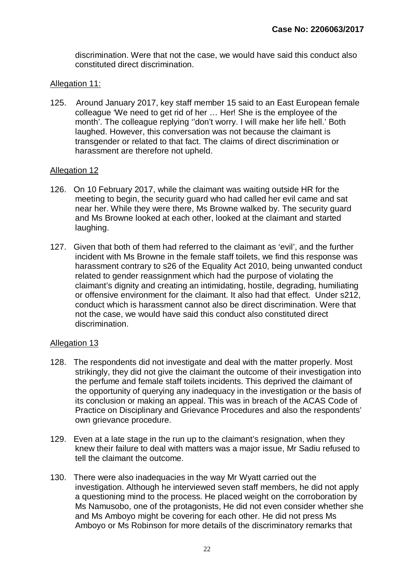discrimination. Were that not the case, we would have said this conduct also constituted direct discrimination.

#### Allegation 11:

125. Around January 2017, key staff member 15 said to an East European female colleague 'We need to get rid of her … Her! She is the employee of the month'. The colleague replying ''don't worry. I will make her life hell.' Both laughed. However, this conversation was not because the claimant is transgender or related to that fact. The claims of direct discrimination or harassment are therefore not upheld.

#### Allegation 12

- 126. On 10 February 2017, while the claimant was waiting outside HR for the meeting to begin, the security guard who had called her evil came and sat near her. While they were there, Ms Browne walked by. The security guard and Ms Browne looked at each other, looked at the claimant and started laughing.
- 127. Given that both of them had referred to the claimant as 'evil', and the further incident with Ms Browne in the female staff toilets, we find this response was harassment contrary to s26 of the Equality Act 2010, being unwanted conduct related to gender reassignment which had the purpose of violating the claimant's dignity and creating an intimidating, hostile, degrading, humiliating or offensive environment for the claimant. It also had that effect. Under s212, conduct which is harassment cannot also be direct discrimination. Were that not the case, we would have said this conduct also constituted direct discrimination.

#### Allegation 13

- 128. The respondents did not investigate and deal with the matter properly. Most strikingly, they did not give the claimant the outcome of their investigation into the perfume and female staff toilets incidents. This deprived the claimant of the opportunity of querying any inadequacy in the investigation or the basis of its conclusion or making an appeal. This was in breach of the ACAS Code of Practice on Disciplinary and Grievance Procedures and also the respondents' own grievance procedure.
- 129. Even at a late stage in the run up to the claimant's resignation, when they knew their failure to deal with matters was a major issue, Mr Sadiu refused to tell the claimant the outcome.
- 130. There were also inadequacies in the way Mr Wyatt carried out the investigation. Although he interviewed seven staff members, he did not apply a questioning mind to the process. He placed weight on the corroboration by Ms Namusobo, one of the protagonists, He did not even consider whether she and Ms Amboyo might be covering for each other. He did not press Ms Amboyo or Ms Robinson for more details of the discriminatory remarks that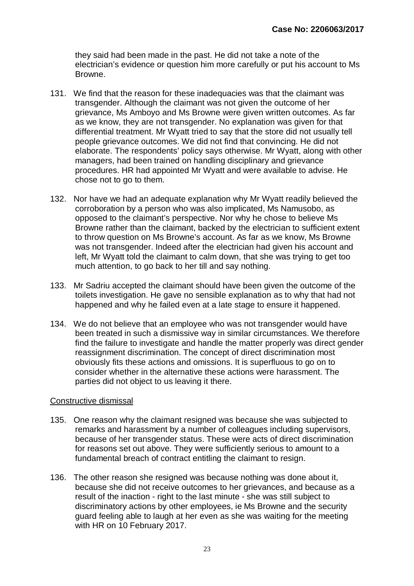they said had been made in the past. He did not take a note of the electrician's evidence or question him more carefully or put his account to Ms Browne.

- 131. We find that the reason for these inadequacies was that the claimant was transgender. Although the claimant was not given the outcome of her grievance, Ms Amboyo and Ms Browne were given written outcomes. As far as we know, they are not transgender. No explanation was given for that differential treatment. Mr Wyatt tried to say that the store did not usually tell people grievance outcomes. We did not find that convincing. He did not elaborate. The respondents' policy says otherwise. Mr Wyatt, along with other managers, had been trained on handling disciplinary and grievance procedures. HR had appointed Mr Wyatt and were available to advise. He chose not to go to them.
- 132. Nor have we had an adequate explanation why Mr Wyatt readily believed the corroboration by a person who was also implicated, Ms Namusobo, as opposed to the claimant's perspective. Nor why he chose to believe Ms Browne rather than the claimant, backed by the electrician to sufficient extent to throw question on Ms Browne's account. As far as we know, Ms Browne was not transgender. Indeed after the electrician had given his account and left, Mr Wyatt told the claimant to calm down, that she was trying to get too much attention, to go back to her till and say nothing.
- 133. Mr Sadriu accepted the claimant should have been given the outcome of the toilets investigation. He gave no sensible explanation as to why that had not happened and why he failed even at a late stage to ensure it happened.
- 134. We do not believe that an employee who was not transgender would have been treated in such a dismissive way in similar circumstances. We therefore find the failure to investigate and handle the matter properly was direct gender reassignment discrimination. The concept of direct discrimination most obviously fits these actions and omissions. It is superfluous to go on to consider whether in the alternative these actions were harassment. The parties did not object to us leaving it there.

#### Constructive dismissal

- 135. One reason why the claimant resigned was because she was subjected to remarks and harassment by a number of colleagues including supervisors, because of her transgender status. These were acts of direct discrimination for reasons set out above. They were sufficiently serious to amount to a fundamental breach of contract entitling the claimant to resign.
- 136. The other reason she resigned was because nothing was done about it, because she did not receive outcomes to her grievances, and because as a result of the inaction - right to the last minute - she was still subject to discriminatory actions by other employees, ie Ms Browne and the security guard feeling able to laugh at her even as she was waiting for the meeting with HR on 10 February 2017.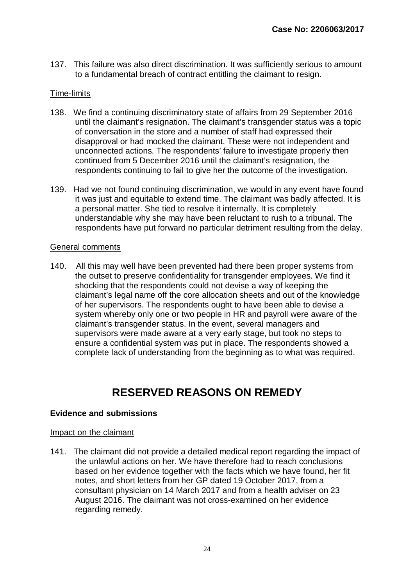137. This failure was also direct discrimination. It was sufficiently serious to amount to a fundamental breach of contract entitling the claimant to resign.

#### Time-limits

- 138. We find a continuing discriminatory state of affairs from 29 September 2016 until the claimant's resignation. The claimant's transgender status was a topic of conversation in the store and a number of staff had expressed their disapproval or had mocked the claimant. These were not independent and unconnected actions. The respondents' failure to investigate properly then continued from 5 December 2016 until the claimant's resignation, the respondents continuing to fail to give her the outcome of the investigation.
- 139. Had we not found continuing discrimination, we would in any event have found it was just and equitable to extend time. The claimant was badly affected. It is a personal matter. She tied to resolve it internally. It is completely understandable why she may have been reluctant to rush to a tribunal. The respondents have put forward no particular detriment resulting from the delay.

#### General comments

140. All this may well have been prevented had there been proper systems from the outset to preserve confidentiality for transgender employees. We find it shocking that the respondents could not devise a way of keeping the claimant's legal name off the core allocation sheets and out of the knowledge of her supervisors. The respondents ought to have been able to devise a system whereby only one or two people in HR and payroll were aware of the claimant's transgender status. In the event, several managers and supervisors were made aware at a very early stage, but took no steps to ensure a confidential system was put in place. The respondents showed a complete lack of understanding from the beginning as to what was required.

## **RESERVED REASONS ON REMEDY**

#### **Evidence and submissions**

#### Impact on the claimant

141. The claimant did not provide a detailed medical report regarding the impact of the unlawful actions on her. We have therefore had to reach conclusions based on her evidence together with the facts which we have found, her fit notes, and short letters from her GP dated 19 October 2017, from a consultant physician on 14 March 2017 and from a health adviser on 23 August 2016. The claimant was not cross-examined on her evidence regarding remedy.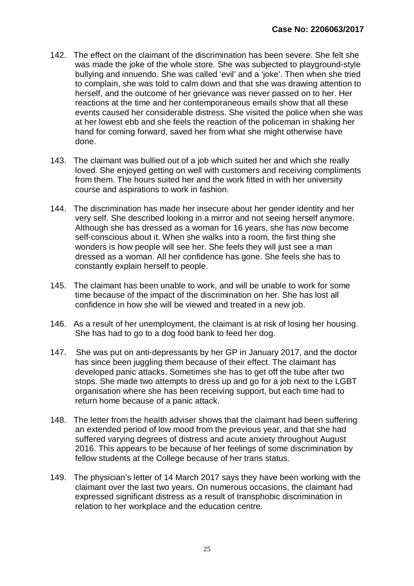- 142. The effect on the claimant of the discrimination has been severe. She felt she was made the joke of the whole store. She was subjected to playground-style bullying and innuendo. She was called 'evil' and a 'joke'. Then when she tried to complain, she was told to calm down and that she was drawing attention to herself, and the outcome of her grievance was never passed on to her. Her reactions at the time and her contemporaneous emails show that all these events caused her considerable distress. She visited the police when she was at her lowest ebb and she feels the reaction of the policeman in shaking her hand for coming forward, saved her from what she might otherwise have done.
- 143. The claimant was bullied out of a job which suited her and which she really loved. She enjoyed getting on well with customers and receiving compliments from them. The hours suited her and the work fitted in with her university course and aspirations to work in fashion.
- 144. The discrimination has made her insecure about her gender identity and her very self. She described looking in a mirror and not seeing herself anymore. Although she has dressed as a woman for 16 years, she has now become self-conscious about it. When she walks into a room, the first thing she wonders is how people will see her. She feels they will just see a man dressed as a woman. All her confidence has gone. She feels she has to constantly explain herself to people.
- 145. The claimant has been unable to work, and will be unable to work for some time because of the impact of the discrimination on her. She has lost all confidence in how she will be viewed and treated in a new job.
- 146. As a result of her unemployment, the claimant is at risk of losing her housing. She has had to go to a dog food bank to feed her dog.
- 147. She was put on anti-depressants by her GP in January 2017, and the doctor has since been juggling them because of their effect. The claimant has developed panic attacks. Sometimes she has to get off the tube after two stops. She made two attempts to dress up and go for a job next to the LGBT organisation where she has been receiving support, but each time had to return home because of a panic attack.
- 148. The letter from the health adviser shows that the claimant had been suffering an extended period of low mood from the previous year, and that she had suffered varying degrees of distress and acute anxiety throughout August 2016. This appears to be because of her feelings of some discrimination by fellow students at the College because of her trans status.
- 149. The physician's letter of 14 March 2017 says they have been working with the claimant over the last two years. On numerous occasions, the claimant had expressed significant distress as a result of transphobic discrimination in relation to her workplace and the education centre.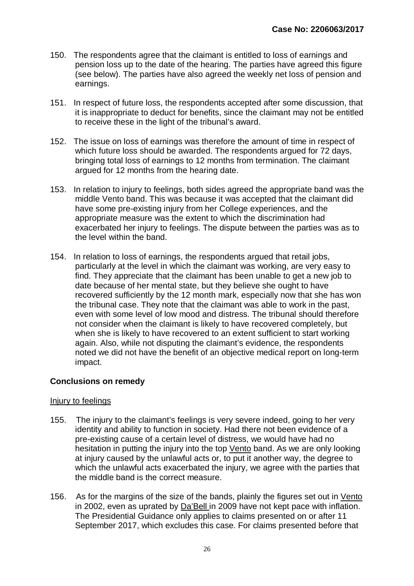- 150. The respondents agree that the claimant is entitled to loss of earnings and pension loss up to the date of the hearing. The parties have agreed this figure (see below). The parties have also agreed the weekly net loss of pension and earnings.
- 151. In respect of future loss, the respondents accepted after some discussion, that it is inappropriate to deduct for benefits, since the claimant may not be entitled to receive these in the light of the tribunal's award.
- 152. The issue on loss of earnings was therefore the amount of time in respect of which future loss should be awarded. The respondents argued for 72 days, bringing total loss of earnings to 12 months from termination. The claimant argued for 12 months from the hearing date.
- 153. In relation to injury to feelings, both sides agreed the appropriate band was the middle Vento band. This was because it was accepted that the claimant did have some pre-existing injury from her College experiences, and the appropriate measure was the extent to which the discrimination had exacerbated her injury to feelings. The dispute between the parties was as to the level within the band.
- 154. In relation to loss of earnings, the respondents argued that retail jobs, particularly at the level in which the claimant was working, are very easy to find. They appreciate that the claimant has been unable to get a new job to date because of her mental state, but they believe she ought to have recovered sufficiently by the 12 month mark, especially now that she has won the tribunal case. They note that the claimant was able to work in the past, even with some level of low mood and distress. The tribunal should therefore not consider when the claimant is likely to have recovered completely, but when she is likely to have recovered to an extent sufficient to start working again. Also, while not disputing the claimant's evidence, the respondents noted we did not have the benefit of an objective medical report on long-term impact.

#### **Conclusions on remedy**

#### Injury to feelings

- 155. The injury to the claimant's feelings is very severe indeed, going to her very identity and ability to function in society. Had there not been evidence of a pre-existing cause of a certain level of distress, we would have had no hesitation in putting the injury into the top Vento band. As we are only looking at injury caused by the unlawful acts or, to put it another way, the degree to which the unlawful acts exacerbated the injury, we agree with the parties that the middle band is the correct measure.
- 156. As for the margins of the size of the bands, plainly the figures set out in Vento in 2002, even as uprated by Da'Bell in 2009 have not kept pace with inflation. The Presidential Guidance only applies to claims presented on or after 11 September 2017, which excludes this case. For claims presented before that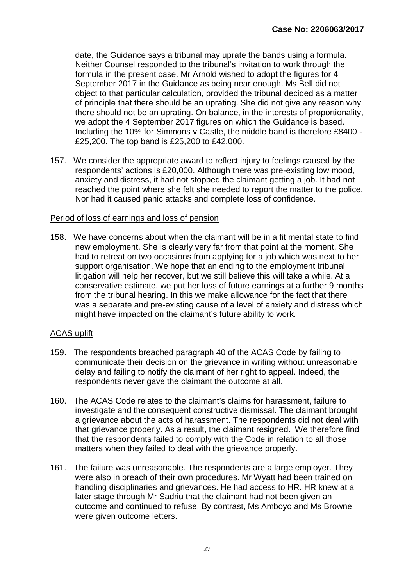date, the Guidance says a tribunal may uprate the bands using a formula. Neither Counsel responded to the tribunal's invitation to work through the formula in the present case. Mr Arnold wished to adopt the figures for 4 September 2017 in the Guidance as being near enough. Ms Bell did not object to that particular calculation, provided the tribunal decided as a matter of principle that there should be an uprating. She did not give any reason why there should not be an uprating. On balance, in the interests of proportionality, we adopt the 4 September 2017 figures on which the Guidance is based. Including the 10% for Simmons v Castle, the middle band is therefore £8400 - £25,200. The top band is £25,200 to £42,000.

157. We consider the appropriate award to reflect injury to feelings caused by the respondents' actions is £20,000. Although there was pre-existing low mood, anxiety and distress, it had not stopped the claimant getting a job. It had not reached the point where she felt she needed to report the matter to the police. Nor had it caused panic attacks and complete loss of confidence.

#### Period of loss of earnings and loss of pension

158. We have concerns about when the claimant will be in a fit mental state to find new employment. She is clearly very far from that point at the moment. She had to retreat on two occasions from applying for a job which was next to her support organisation. We hope that an ending to the employment tribunal litigation will help her recover, but we still believe this will take a while. At a conservative estimate, we put her loss of future earnings at a further 9 months from the tribunal hearing. In this we make allowance for the fact that there was a separate and pre-existing cause of a level of anxiety and distress which might have impacted on the claimant's future ability to work.

#### ACAS uplift

- 159. The respondents breached paragraph 40 of the ACAS Code by failing to communicate their decision on the grievance in writing without unreasonable delay and failing to notify the claimant of her right to appeal. Indeed, the respondents never gave the claimant the outcome at all.
- 160. The ACAS Code relates to the claimant's claims for harassment, failure to investigate and the consequent constructive dismissal. The claimant brought a grievance about the acts of harassment. The respondents did not deal with that grievance properly. As a result, the claimant resigned. We therefore find that the respondents failed to comply with the Code in relation to all those matters when they failed to deal with the grievance properly.
- 161. The failure was unreasonable. The respondents are a large employer. They were also in breach of their own procedures. Mr Wyatt had been trained on handling disciplinaries and grievances. He had access to HR. HR knew at a later stage through Mr Sadriu that the claimant had not been given an outcome and continued to refuse. By contrast, Ms Amboyo and Ms Browne were given outcome letters.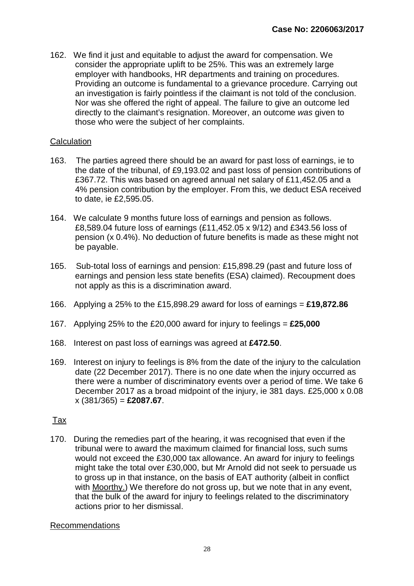162. We find it just and equitable to adjust the award for compensation. We consider the appropriate uplift to be 25%. This was an extremely large employer with handbooks, HR departments and training on procedures. Providing an outcome is fundamental to a grievance procedure. Carrying out an investigation is fairly pointless if the claimant is not told of the conclusion. Nor was she offered the right of appeal. The failure to give an outcome led directly to the claimant's resignation. Moreover, an outcome *was* given to those who were the subject of her complaints.

#### **Calculation**

- 163. The parties agreed there should be an award for past loss of earnings, ie to the date of the tribunal, of £9,193.02 and past loss of pension contributions of £367.72. This was based on agreed annual net salary of £11,452.05 and a 4% pension contribution by the employer. From this, we deduct ESA received to date, ie £2,595.05.
- 164. We calculate 9 months future loss of earnings and pension as follows. £8,589.04 future loss of earnings (£11,452.05 x 9/12) and £343.56 loss of pension (x 0.4%). No deduction of future benefits is made as these might not be payable.
- 165. Sub-total loss of earnings and pension: £15,898.29 (past and future loss of earnings and pension less state benefits (ESA) claimed). Recoupment does not apply as this is a discrimination award.
- 166. Applying a 25% to the £15,898.29 award for loss of earnings = **£19,872.86**
- 167. Applying 25% to the £20,000 award for injury to feelings = **£25,000**
- 168. Interest on past loss of earnings was agreed at **£472.50**.
- 169. Interest on injury to feelings is 8% from the date of the injury to the calculation date (22 December 2017). There is no one date when the injury occurred as there were a number of discriminatory events over a period of time. We take 6 December 2017 as a broad midpoint of the injury, ie 381 days. £25,000 x 0.08 x (381/365) = **£2087.67**.

#### Tax

170. During the remedies part of the hearing, it was recognised that even if the tribunal were to award the maximum claimed for financial loss, such sums would not exceed the £30,000 tax allowance. An award for injury to feelings might take the total over £30,000, but Mr Arnold did not seek to persuade us to gross up in that instance, on the basis of EAT authority (albeit in conflict with Moorthy.) We therefore do not gross up, but we note that in any event, that the bulk of the award for injury to feelings related to the discriminatory actions prior to her dismissal.

#### Recommendations